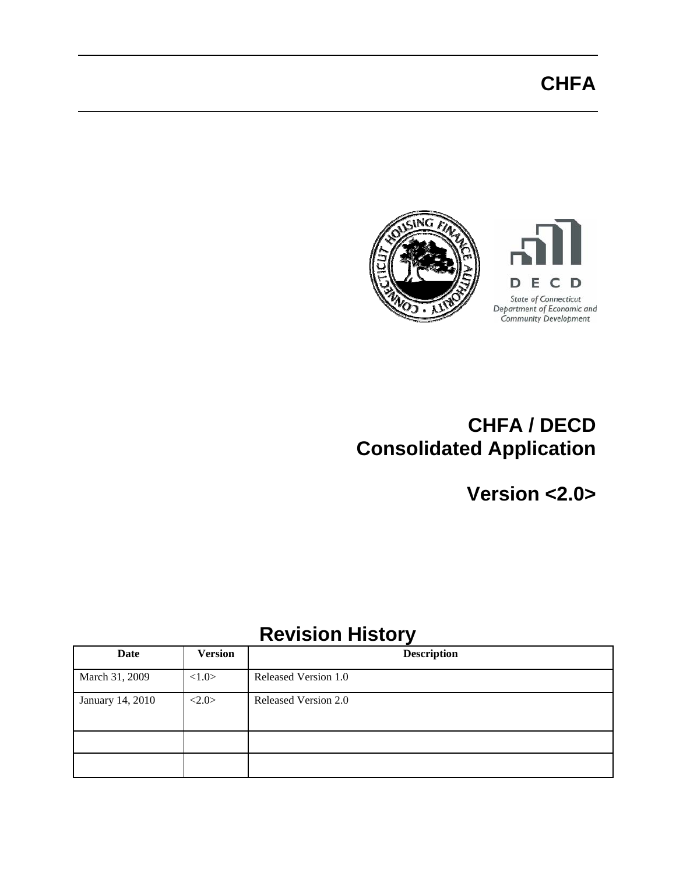

## **CHFA / DECD Consolidated Application**

**Version <2.0>** 

## **Revision History**

| Date             | <b>Version</b>        | <b>Description</b>   |
|------------------|-----------------------|----------------------|
| March 31, 2009   | <1.0>                 | Released Version 1.0 |
| January 14, 2010 | $\langle 2.0 \rangle$ | Released Version 2.0 |
|                  |                       |                      |
|                  |                       |                      |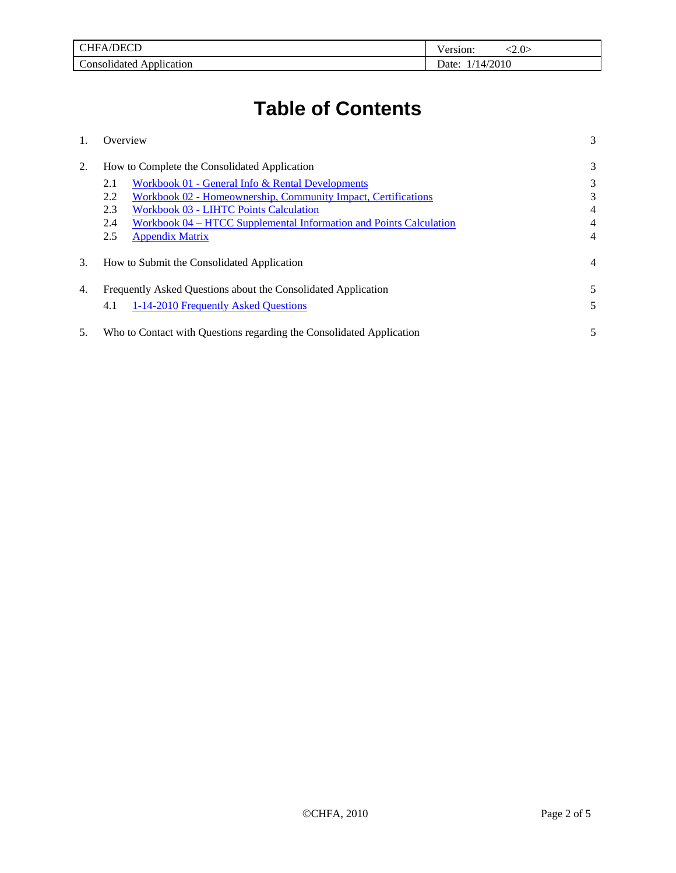| TOT<br>$\sim$<br>ън (<br>HFA/L       | :2.0<br>ersion. |
|--------------------------------------|-----------------|
| $\sim$<br>`onsolidated<br>pplication | 14/2010<br>Jate |

# **Table of Contents**

|    | Overview                                                                  | 3 |
|----|---------------------------------------------------------------------------|---|
| 2. | How to Complete the Consolidated Application                              | 3 |
|    | Workbook 01 - General Info & Rental Developments<br>2.1                   | 3 |
|    | Workbook 02 - Homeownership, Community Impact, Certifications<br>2.2      | 3 |
|    | 2.3<br><b>Workbook 03 - LIHTC Points Calculation</b>                      | 4 |
|    | Workbook 04 – HTCC Supplemental Information and Points Calculation<br>2.4 | 4 |
|    | 2.5<br><b>Appendix Matrix</b>                                             | 4 |
| 3. | How to Submit the Consolidated Application                                | 4 |
| 4. | Frequently Asked Questions about the Consolidated Application             | 5 |
|    | 1-14-2010 Frequently Asked Questions<br>4.1                               | 5 |
| 5. | Who to Contact with Questions regarding the Consolidated Application      | 5 |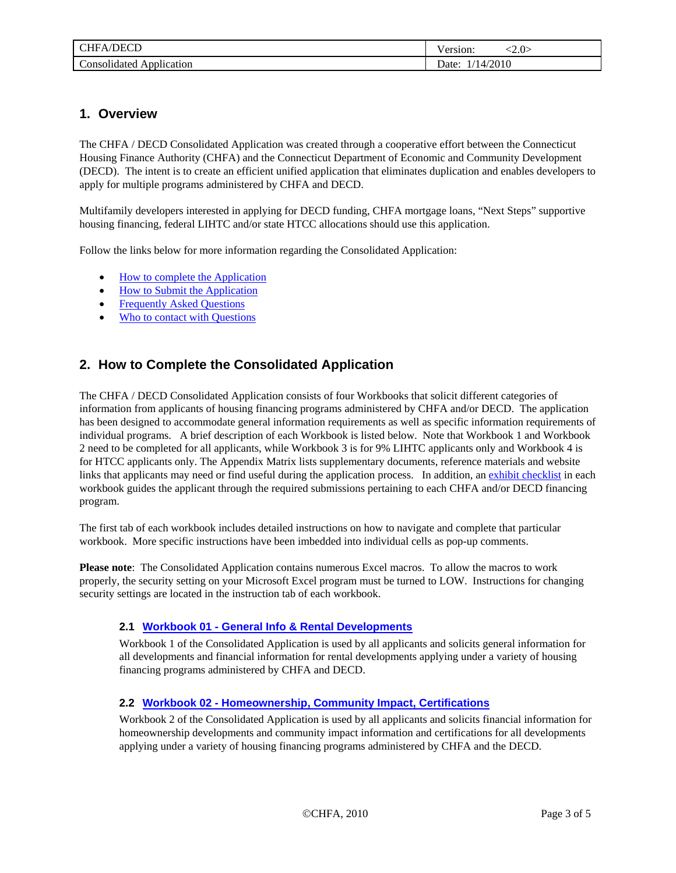<span id="page-2-0"></span>

| /DECD<br>ЧFА                          | <2.0<br>ersion:            |
|---------------------------------------|----------------------------|
| $\sim$<br>`onsolidated<br>Application | /2010<br>≀م†وا<br>$\Delta$ |

### **1. Overview**

The CHFA / DECD Consolidated Application was created through a cooperative effort between the Connecticut Housing Finance Authority (CHFA) and the Connecticut Department of Economic and Community Development (DECD). The intent is to create an efficient unified application that eliminates duplication and enables developers to apply for multiple programs administered by CHFA and DECD.

Multifamily developers interested in applying for DECD funding, CHFA mortgage loans, "Next Steps" supportive housing financing, federal LIHTC and/or state HTCC allocations should use this application.

Follow the links below for more information regarding the Consolidated Application:

- [How to complete the Application](#page-2-0)
- [How to Submit the Application](#page-3-0)
- Frequently Asked Questions
- [Who to contact with Questions](#page-4-0)

## **2. How to Complete the Consolidated Application**

The CHFA / DECD Consolidated Application consists of four Workbooks that solicit different categories of information from applicants of housing financing programs administered by CHFA and/or DECD. The application has been designed to accommodate general information requirements as well as specific information requirements of individual programs. A brief description of each Workbook is listed below. Note that Workbook 1 and Workbook 2 need to be completed for all applicants, while Workbook 3 is for 9% LIHTC applicants only and Workbook 4 is for HTCC applicants only. The Appendix Matrix lists supplementary documents, reference materials and website links that applicants may need or find useful during the application process. In addition, an exhibit checklist in each workbook guides the applicant through the required submissions pertaining to each CHFA and/or DECD financing program.

The first tab of each workbook includes detailed instructions on how to navigate and complete that particular workbook. More specific instructions have been imbedded into individual cells as pop-up comments.

**Please note**: The Consolidated Application contains numerous Excel macros. To allow the macros to work properly, the security setting on your Microsoft Excel program must be turned to LOW. Instructions for changing security settings are located in the instruction tab of each workbook.

#### **2.1 Workbook 01 - General Info & Rental Developments**

Workbook 1 of the Consolidated Application is used by all applicants and solicits general information for all developments and financial information for rental developments applying under a variety of housing financing programs administered by CHFA and DECD.

#### **2.2 Workbook 02 - Homeownership, Community Impact, Certifications**

Workbook 2 of the Consolidated Application is used by all applicants and solicits financial information for homeownership developments and community impact information and certifications for all developments applying under a variety of housing financing programs administered by CHFA and the DECD.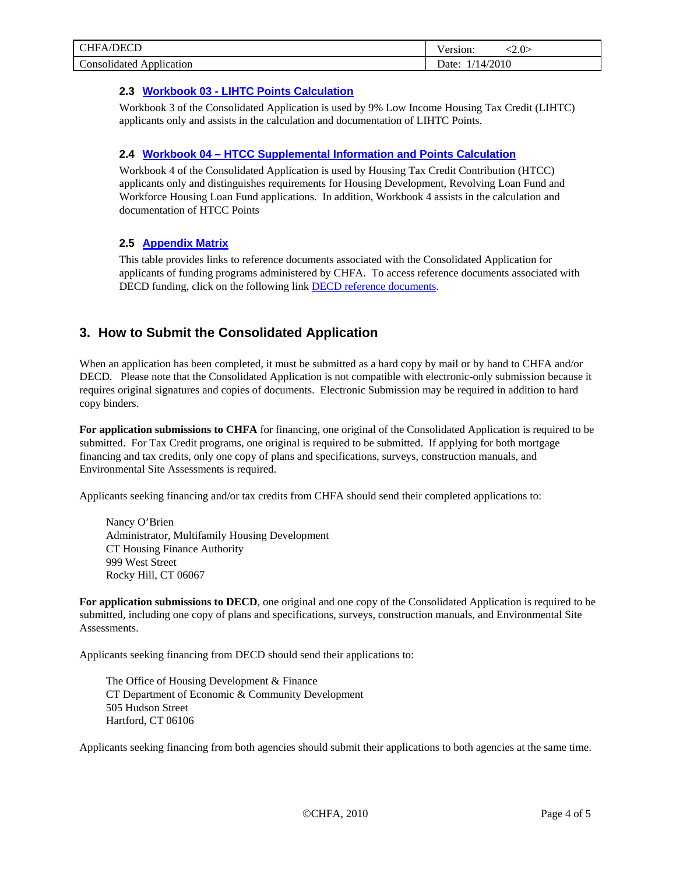<span id="page-3-0"></span>

| /DECD<br>$\tau$ HFA $\Lambda$<br>$\sim$ $\sim$ | $\langle 2.0 \rangle$<br>ersion: |
|------------------------------------------------|----------------------------------|
| $\sqrt{ }$                                     | /2010                            |
| onsolidated                                    | Jate:                            |
| Application                                    | ۰д.                              |

#### **2.3 Workbook 03 - LIHTC Points Calculation**

Workbook 3 of the Consolidated Application is used by 9% Low Income Housing Tax Credit (LIHTC) applicants only and assists in the calculation and documentation of LIHTC Points.

#### **2.4 Workbook 04 – HTCC Supplemental Information and Points Calculation**

Workbook 4 of the Consolidated Application is used by Housing Tax Credit Contribution (HTCC) applicants only and distinguishes requirements for Housing Development, Revolving Loan Fund and Workforce Housing Loan Fund applications. In addition, Workbook 4 assists in the calculation and documentation of HTCC Points

#### **2.5 Appendix Matrix**

This table provides links to reference documents associated with the Consolidated Application for applicants of funding programs administered by CHFA. To access reference documents associated with DECD funding, click on the following link **DECD** reference documents.

## **3. How to Submit the Consolidated Application**

When an application has been completed, it must be submitted as a hard copy by mail or by hand to CHFA and/or DECD. Please note that the Consolidated Application is not compatible with electronic-only submission because it requires original signatures and copies of documents. Electronic Submission may be required in addition to hard copy binders.

**For application submissions to CHFA** for financing, one original of the Consolidated Application is required to be submitted. For Tax Credit programs, one original is required to be submitted. If applying for both mortgage financing and tax credits, only one copy of plans and specifications, surveys, construction manuals, and Environmental Site Assessments is required.

Applicants seeking financing and/or tax credits from CHFA should send their completed applications to:

Nancy O'Brien Administrator, Multifamily Housing Development CT Housing Finance Authority 999 West Street Rocky Hill, CT 06067

**For application submissions to DECD**, one original and one copy of the Consolidated Application is required to be submitted, including one copy of plans and specifications, surveys, construction manuals, and Environmental Site Assessments.

Applicants seeking financing from DECD should send their applications to:

The Office of Housing Development & Finance CT Department of Economic & Community Development 505 Hudson Street Hartford, CT 06106

Applicants seeking financing from both agencies should submit their applications to both agencies at the same time.